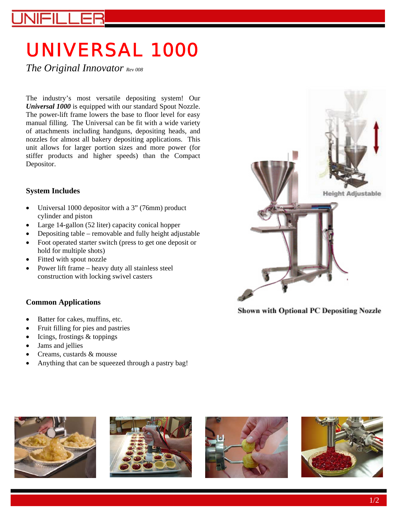# UNIVERSAL 1000

*The Original Innovator Rev 008* 

The industry's most versatile depositing system! Our *Universal 1000* is equipped with our standard Spout Nozzle. The power-lift frame lowers the base to floor level for easy manual filling. The Universal can be fit with a wide variety of attachments including handguns, depositing heads, and nozzles for almost all bakery depositing applications. This unit allows for larger portion sizes and more power (for stiffer products and higher speeds) than the Compact Depositor.

#### **System Includes**

- Universal 1000 depositor with a 3" (76mm) product cylinder and piston
- Large 14-gallon (52 liter) capacity conical hopper
- Depositing table removable and fully height adjustable
- Foot operated starter switch (press to get one deposit or hold for multiple shots)
- Fitted with spout nozzle
- Power lift frame heavy duty all stainless steel construction with locking swivel casters

#### **Common Applications**

- Batter for cakes, muffins, etc.
- Fruit filling for pies and pastries
- Icings, frostings & toppings
- Jams and jellies
- Creams, custards & mousse
- Anything that can be squeezed through a pastry bag!



**Shown with Optional PC Depositing Nozzle** 







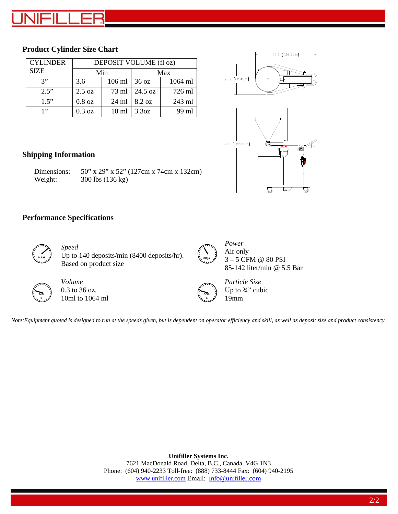#### **Product Cylinder Size Chart**

| <b>CYLINDER</b> | DEPOSIT VOLUME (fl oz) |                  |                  |         |
|-----------------|------------------------|------------------|------------------|---------|
| <b>SIZE</b>     | Min                    |                  | Max              |         |
| 3"              | 3.6                    | 106 ml           | $36 \text{ oz}$  | 1064 ml |
| 2.5"            | 2.5 oz                 | 73 ml            | 24.5 oz          | 726 ml  |
| 1.5"            | $0.8$ oz               | $24 \text{ ml}$  | $8.2 \text{ oz}$ | 243 ml  |
| 1, 3            | $0.3$ oz               | 10 <sub>ml</sub> | 3.3oz            | 99 ml   |





#### **Shipping Information**

| Dimensions: | 50" x 29" x 52" (127cm x 74cm x 132cm) |
|-------------|----------------------------------------|
| Weight:     | 300 lbs (136 kg)                       |

#### **Performance Specifications**



*Speed*  MPH J Up to 140 deposits/min (8400 deposits/hr). Based on product size



*Power*  Air only 3 – 5 CFM @ 80 PSI 85-142 liter/min @ 5.5 Bar



*Volume*  0.3 to 36 oz. 10ml to 1064 ml

 **Ozs g**

*Particle Size*  Up to ¾" cubic 19mm

*Note:Equipment quoted is designed to run at the speeds given, but is dependent on operator efficiency and skill, as well as deposit size and product consistency.* 

**Unifiller Systems Inc.**  7621 MacDonald Road, Delta, B.C., Canada, V4G 1N3 Phone: (604) 940-2233 Toll-free: (888) 733-8444 Fax: (604) 940-2195 www.unifiller.com Email: info@unifiller.com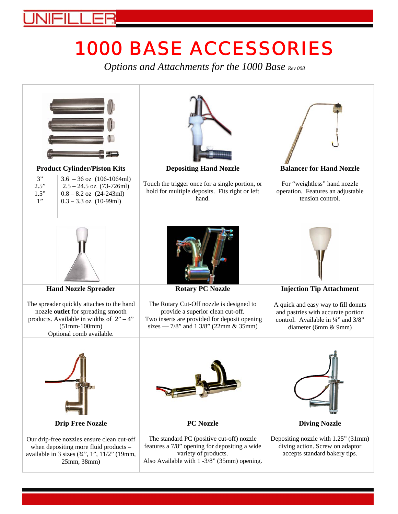## 1000 BASE ACCESSORIES

*Options and Attachments for the 1000 Base Rev 008*